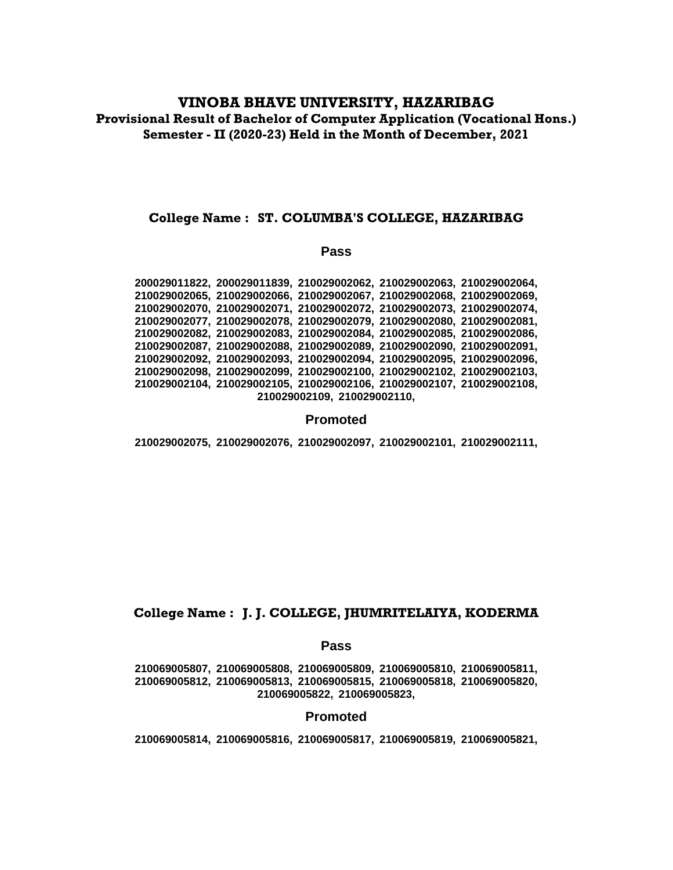# **VINOBA BHAVE UNIVERSITY, HAZARIBAG Provisional Result of Bachelor of Computer Application (Vocational Hons.) Semester - II (2020-23) Held in the Month of December, 2021**

## **College Name : ST. COLUMBA'S COLLEGE, HAZARIBAG**

#### **Pass**

**200029011822, 200029011839, 210029002062, 210029002063, 210029002064, 210029002065, 210029002066, 210029002067, 210029002068, 210029002069, 210029002070, 210029002071, 210029002072, 210029002073, 210029002074, 210029002077, 210029002078, 210029002079, 210029002080, 210029002081, 210029002082, 210029002083, 210029002084, 210029002085, 210029002086, 210029002087, 210029002088, 210029002089, 210029002090, 210029002091, 210029002092, 210029002093, 210029002094, 210029002095, 210029002096, 210029002098, 210029002099, 210029002100, 210029002102, 210029002103, 210029002104, 210029002105, 210029002106, 210029002107, 210029002108, 210029002109, 210029002110,**

## **Promoted**

**210029002075, 210029002076, 210029002097, 210029002101, 210029002111,**

# **College Name : J. J. COLLEGE, JHUMRITELAIYA, KODERMA**

## **Pass**

**210069005807, 210069005808, 210069005809, 210069005810, 210069005811, 210069005812, 210069005813, 210069005815, 210069005818, 210069005820, 210069005822, 210069005823,**

## **Promoted**

**210069005814, 210069005816, 210069005817, 210069005819, 210069005821,**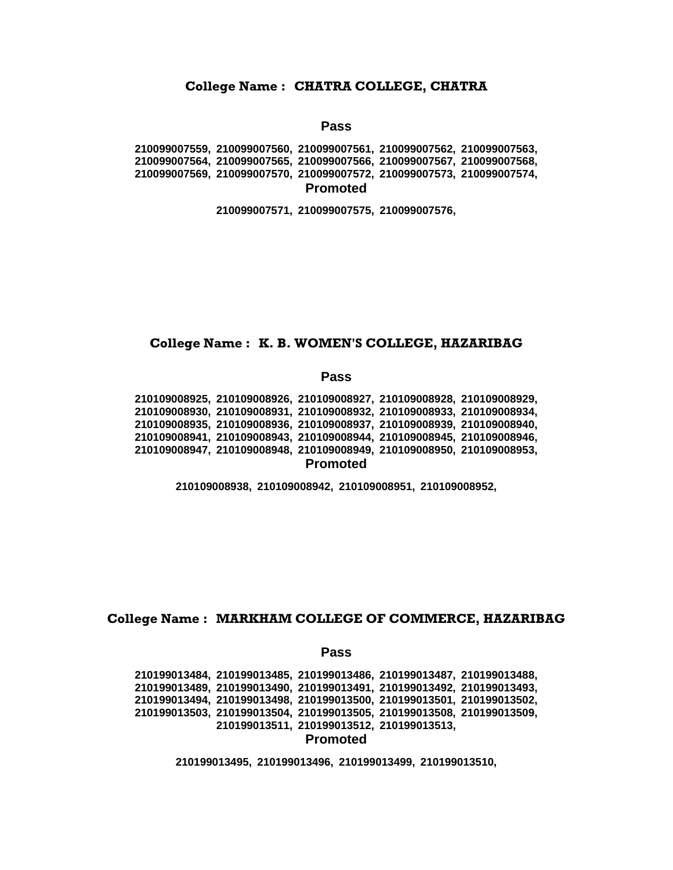#### **College Name : CHATRA COLLEGE, CHATRA**

## **Pass**

**210099007559, 210099007560, 210099007561, 210099007562, 210099007563, 210099007564, 210099007565, 210099007566, 210099007567, 210099007568, 210099007569, 210099007570, 210099007572, 210099007573, 210099007574, Promoted**

**210099007571, 210099007575, 210099007576,**

## **College Name : K. B. WOMEN'S COLLEGE, HAZARIBAG**

#### **Pass**

**210109008925, 210109008926, 210109008927, 210109008928, 210109008929, 210109008930, 210109008931, 210109008932, 210109008933, 210109008934, 210109008935, 210109008936, 210109008937, 210109008939, 210109008940, 210109008941, 210109008943, 210109008944, 210109008945, 210109008946, 210109008947, 210109008948, 210109008949, 210109008950, 210109008953, Promoted**

**210109008938, 210109008942, 210109008951, 210109008952,**

# **College Name : MARKHAM COLLEGE OF COMMERCE, HAZARIBAG**

#### **Pass**

**210199013484, 210199013485, 210199013486, 210199013487, 210199013488, 210199013489, 210199013490, 210199013491, 210199013492, 210199013493, 210199013494, 210199013498, 210199013500, 210199013501, 210199013502, 210199013503, 210199013504, 210199013505, 210199013508, 210199013509, 210199013511, 210199013512, 210199013513, Promoted**

**210199013495, 210199013496, 210199013499, 210199013510,**